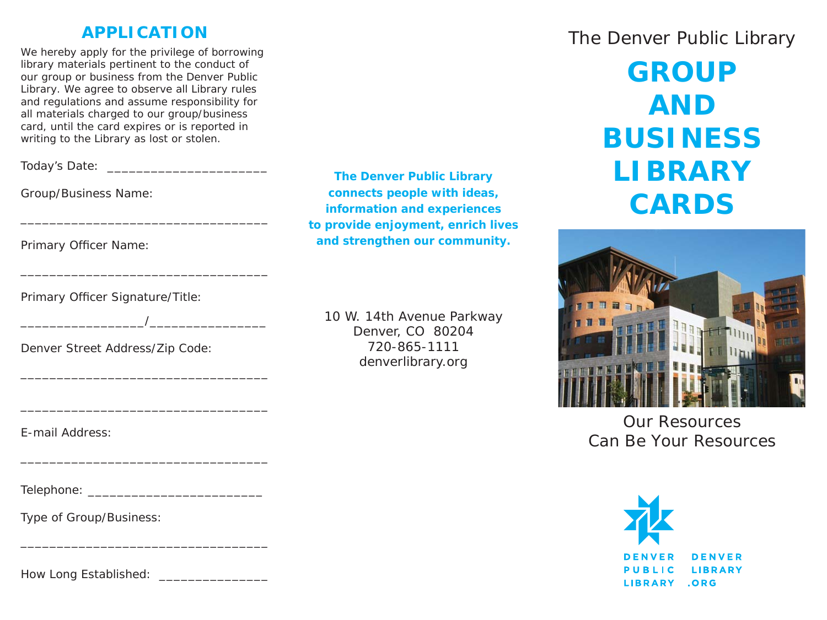### **APPLICATION**

*We hereby apply for the privilege of borrowing library materials pertinent to the conduct of our group or business from the Denver Public Library. We agree to observe all Library rules and regulations and assume responsibility for all materials charged to our group/business card, until the card expires or is reported in writing to the Library as lost or stolen.*

Today's Date: **We have also been also also been** 

Group/Business Name:

Primary Officer Name:

Primary Officer Signature/Title:

 $\overline{\phantom{a}}$ 

Denver Street Address/Zip Code:

E-mail Address:

Telephone: \_\_\_\_\_\_\_\_\_\_\_\_\_\_\_\_\_\_\_\_\_\_\_\_

Type of Group/Business:

How Long Established:

**The Denver Public Library connects people with ideas, information and experiences to provide enjoyment, enrich lives and strengthen our community.**

10 W. 14th Avenue Parkway Denver, CO 80204 720-865-1111denverlibrary.org

# The Denver Public Library

**GROUPANDBUSINESSLIBRARYCARDS**



*Our ResourcesCan Be Your Resources*